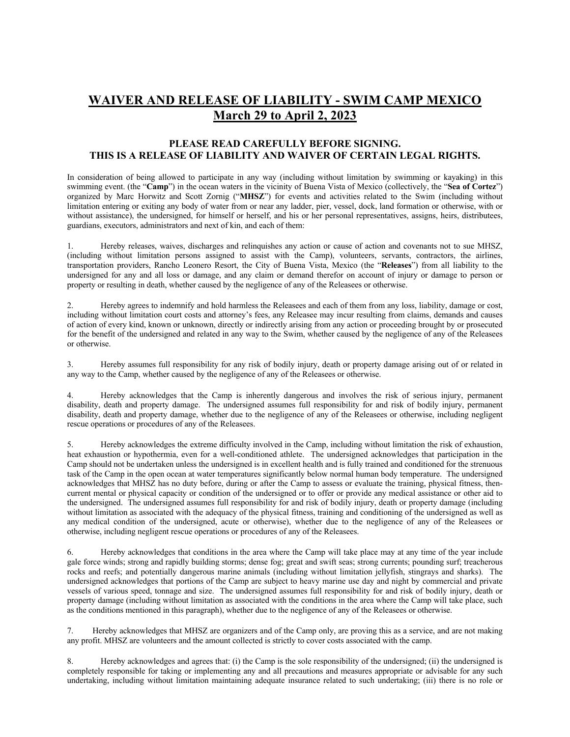## **WAIVER AND RELEASE OF LIABILITY - SWIM CAMP MEXICO March 29 to April 2, 2023**

## **PLEASE READ CAREFULLY BEFORE SIGNING. THIS IS A RELEASE OF LIABILITY AND WAIVER OF CERTAIN LEGAL RIGHTS.**

In consideration of being allowed to participate in any way (including without limitation by swimming or kayaking) in this swimming event. (the "**Camp**") in the ocean waters in the vicinity of Buena Vista of Mexico (collectively, the "**Sea of Cortez**") organized by Marc Horwitz and Scott Zornig ("**MHSZ**") for events and activities related to the Swim (including without limitation entering or exiting any body of water from or near any ladder, pier, vessel, dock, land formation or otherwise, with or without assistance), the undersigned, for himself or herself, and his or her personal representatives, assigns, heirs, distributees, guardians, executors, administrators and next of kin, and each of them:

1. Hereby releases, waives, discharges and relinquishes any action or cause of action and covenants not to sue MHSZ, (including without limitation persons assigned to assist with the Camp), volunteers, servants, contractors, the airlines, transportation providers, Rancho Leonero Resort, the City of Buena Vista, Mexico (the "**Releases**") from all liability to the undersigned for any and all loss or damage, and any claim or demand therefor on account of injury or damage to person or property or resulting in death, whether caused by the negligence of any of the Releasees or otherwise.

2. Hereby agrees to indemnify and hold harmless the Releasees and each of them from any loss, liability, damage or cost, including without limitation court costs and attorney's fees, any Releasee may incur resulting from claims, demands and causes of action of every kind, known or unknown, directly or indirectly arising from any action or proceeding brought by or prosecuted for the benefit of the undersigned and related in any way to the Swim, whether caused by the negligence of any of the Releasees or otherwise.

3. Hereby assumes full responsibility for any risk of bodily injury, death or property damage arising out of or related in any way to the Camp, whether caused by the negligence of any of the Releasees or otherwise.

4. Hereby acknowledges that the Camp is inherently dangerous and involves the risk of serious injury, permanent disability, death and property damage. The undersigned assumes full responsibility for and risk of bodily injury, permanent disability, death and property damage, whether due to the negligence of any of the Releasees or otherwise, including negligent rescue operations or procedures of any of the Releasees.

5. Hereby acknowledges the extreme difficulty involved in the Camp, including without limitation the risk of exhaustion, heat exhaustion or hypothermia, even for a well-conditioned athlete. The undersigned acknowledges that participation in the Camp should not be undertaken unless the undersigned is in excellent health and is fully trained and conditioned for the strenuous task of the Camp in the open ocean at water temperatures significantly below normal human body temperature. The undersigned acknowledges that MHSZ has no duty before, during or after the Camp to assess or evaluate the training, physical fitness, thencurrent mental or physical capacity or condition of the undersigned or to offer or provide any medical assistance or other aid to the undersigned. The undersigned assumes full responsibility for and risk of bodily injury, death or property damage (including without limitation as associated with the adequacy of the physical fitness, training and conditioning of the undersigned as well as any medical condition of the undersigned, acute or otherwise), whether due to the negligence of any of the Releasees or otherwise, including negligent rescue operations or procedures of any of the Releasees.

6. Hereby acknowledges that conditions in the area where the Camp will take place may at any time of the year include gale force winds; strong and rapidly building storms; dense fog; great and swift seas; strong currents; pounding surf; treacherous rocks and reefs; and potentially dangerous marine animals (including without limitation jellyfish, stingrays and sharks). The undersigned acknowledges that portions of the Camp are subject to heavy marine use day and night by commercial and private vessels of various speed, tonnage and size. The undersigned assumes full responsibility for and risk of bodily injury, death or property damage (including without limitation as associated with the conditions in the area where the Camp will take place, such as the conditions mentioned in this paragraph), whether due to the negligence of any of the Releasees or otherwise.

7. Hereby acknowledges that MHSZ are organizers and of the Camp only, are proving this as a service, and are not making any profit. MHSZ are volunteers and the amount collected is strictly to cover costs associated with the camp.

8. Hereby acknowledges and agrees that: (i) the Camp is the sole responsibility of the undersigned; (ii) the undersigned is completely responsible for taking or implementing any and all precautions and measures appropriate or advisable for any such undertaking, including without limitation maintaining adequate insurance related to such undertaking; (iii) there is no role or